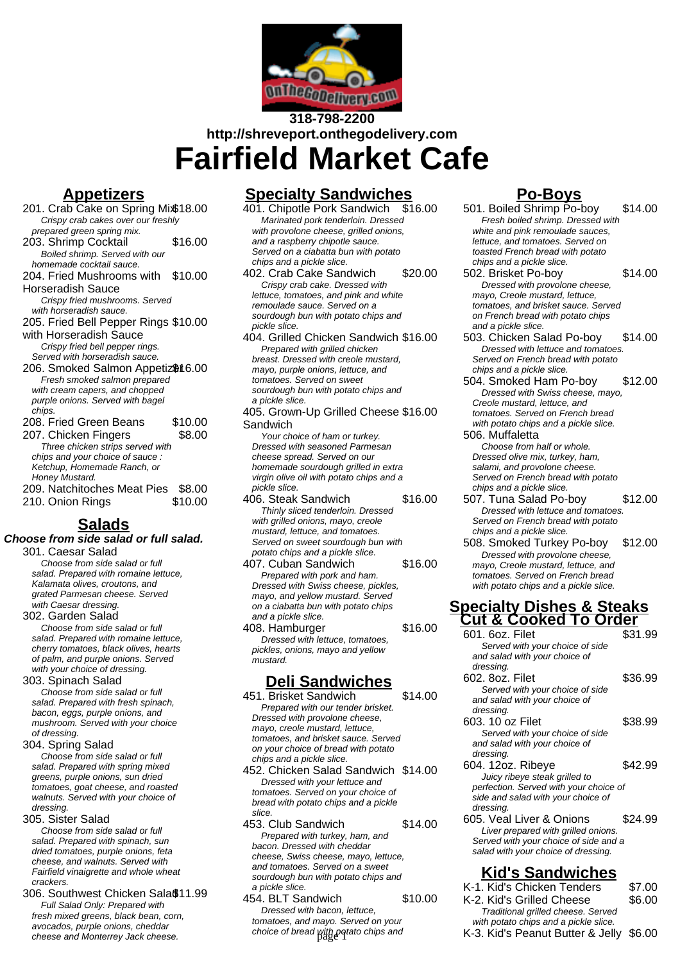

# **318-798-2200 http://shreveport.onthegodelivery.com Fairfield Market Cafe**

## **Appetizers**

201. Crab Cake on Spring Mix\$18.00 Crispy crab cakes over our freshly prepared green spring mix. 203. Shrimp Cocktail \$16.00 Boiled shrimp. Served with our homemade cocktail sauce. 204. Fried Mushrooms with \$10.00 Horseradish Sauce Crispy fried mushrooms. Served with horseradish sauce. 205. Fried Bell Pepper Rings \$10.00 with Horseradish Sauce Crispy fried bell pepper rings. Served with horseradish sauce. 206. Smoked Salmon Appetiz<sup>\$16.00</sup> Fresh smoked salmon prepared with cream capers, and chopped purple onions. Served with bagel chips. 208. Fried Green Beans \$10.00 207. Chicken Fingers \$8.00 Three chicken strips served with chips and your choice of sauce : Ketchup, Homemade Ranch, or Honey Mustard. 209. Natchitoches Meat Pies \$8.00 210. Onion Rings \$10.00 **Salads**

#### **Choose from side salad or full salad.** 301. Caesar Salad Choose from side salad or full

salad. Prepared with romaine lettuce, Kalamata olives, croutons, and grated Parmesan cheese. Served with Caesar dressing.

302. Garden Salad

Choose from side salad or full salad. Prepared with romaine lettuce, cherry tomatoes, black olives, hearts of palm, and purple onions. Served with your choice of dressing.

303. Spinach Salad

Choose from side salad or full salad. Prepared with fresh spinach, bacon, eggs, purple onions, and mushroom. Served with your choice of dressing.

304. Spring Salad

Choose from side salad or full salad. Prepared with spring mixed greens, purple onions, sun dried tomatoes, goat cheese, and roasted walnuts. Served with your choice of dressing.

305. Sister Salad

Choose from side salad or full salad. Prepared with spinach, sun dried tomatoes, purple onions, feta cheese, and walnuts. Served with Fairfield vinaigrette and whole wheat crackers.

306. Southwest Chicken Sala \$11.99 Full Salad Only: Prepared with fresh mixed greens, black bean, corn, avocados, purple onions, cheddar cheese and Monterrey Jack cheese.

# **Specialty Sandwiches**

401. Chipotle Pork Sandwich Marinated pork tenderloin. Dressed with provolone cheese, grilled onions, and a raspberry chipotle sauce. Served on a ciabatta bun with potato chips and a pickle slice.

402. Crab Cake Sandwich \$20.00 Crispy crab cake. Dressed with lettuce, tomatoes, and pink and white remoulade sauce. Served on a sourdough bun with potato chips and pickle slice.

404. Grilled Chicken Sandwich \$16.00 Prepared with grilled chicken breast. Dressed with creole mustard, mayo, purple onions, lettuce, and tomatoes. Served on sweet sourdough bun with potato chips and a pickle slice.

405. Grown-Up Grilled Cheese \$16.00 Sandwich

Your choice of ham or turkey. Dressed with seasoned Parmesan cheese spread. Served on our homemade sourdough grilled in extra virgin olive oil with potato chips and a pickle slice.

- 406. Steak Sandwich \$16.00 Thinly sliced tenderloin. Dressed with grilled onions, mayo, creole mustard, lettuce, and tomatoes. Served on sweet sourdough bun with potato chips and a pickle slice.
- 407. Cuban Sandwich \$16.00 Prepared with pork and ham. Dressed with Swiss cheese, pickles, mayo, and yellow mustard. Served on a ciabatta bun with potato chips and a pickle slice.
- 408. Hamburger \$16.00 Dressed with lettuce, tomatoes, pickles, onions, mayo and yellow mustard.

### **Deli Sandwiches**

451. Brisket Sandwich \$14.00 Prepared with our tender brisket. Dressed with provolone cheese, mayo, creole mustard, lettuce, tomatoes, and brisket sauce. Served on your choice of bread with potato chips and a pickle slice.

452. Chicken Salad Sandwich \$14.00 Dressed with your lettuce and tomatoes. Served on your choice of bread with potato chips and a pickle slice.

453. Club Sandwich \$14.00 Prepared with turkey, ham, and bacon. Dressed with cheddar cheese, Swiss cheese, mayo, lettuce, and tomatoes. Served on a sweet sourdough bun with potato chips and a pickle slice.

454. BLT Sandwich \$10.00 Dressed with bacon, lettuce, tomatoes, and mayo. Served on your choice of bread with potato chips and

# **Po-Boys**

501. Boiled Shrimp Po-boy \$14.00 Fresh boiled shrimp. Dressed with white and pink remoulade sauces, lettuce, and tomatoes. Served on toasted French bread with potato chips and a pickle slice. 502. Brisket Po-boy \$14.00 Dressed with provolone cheese, mayo, Creole mustard, lettuce, tomatoes, and brisket sauce. Served on French bread with potato chips and a pickle slice. 503. Chicken Salad Po-boy \$14.00 Dressed with lettuce and tomatoes. Served on French bread with potato chips and a pickle slice. 504. Smoked Ham Po-boy \$12.00 Dressed with Swiss cheese, mayo, Creole mustard, lettuce, and tomatoes. Served on French bread with potato chips and a pickle slice. 506. Muffaletta Choose from half or whole. Dressed olive mix, turkey, ham, salami, and provolone cheese. Served on French bread with potato chips and a pickle slice. 507. Tuna Salad Po-boy \$12.00 Dressed with lettuce and tomatoes. Served on French bread with potato chips and a pickle slice. 508. Smoked Turkey Po-boy \$12.00 Dressed with provolone cheese, mayo, Creole mustard, lettuce, and tomatoes. Served on French bread with potato chips and a pickle slice. **Specialty Dishes & Steaks Cut & Cooked To Order** 601. 6oz. Filet Served with your choice of side and salad with your choice of dressing. 602. 8oz. Filet \$36.99 Served with your choice of side and salad with your choice of dressing 603. 10 oz Filet \$38.99 Served with your choice of side and salad with your choice of dressing. 604. 12oz. Ribeye \$42.99 Juicy ribeye steak grilled to perfection. Served with your choice of side and salad with your choice of dressing. 605. Veal Liver & Onions \$24.99 Liver prepared with grilled onions. Served with your choice of side and a salad with your choice of dressing.

# **Kid's Sandwiches**

| K-1. Kid's Chicken Tenders             | \$7.00 |
|----------------------------------------|--------|
| K-2. Kid's Grilled Cheese              | \$6.00 |
| Traditional grilled cheese. Served     |        |
| with potato chips and a pickle slice.  |        |
| K.3 Kid's Paanut Rutter & Jelly \$6.00 |        |

K-3. Kid's Peanut Butter & Jelly